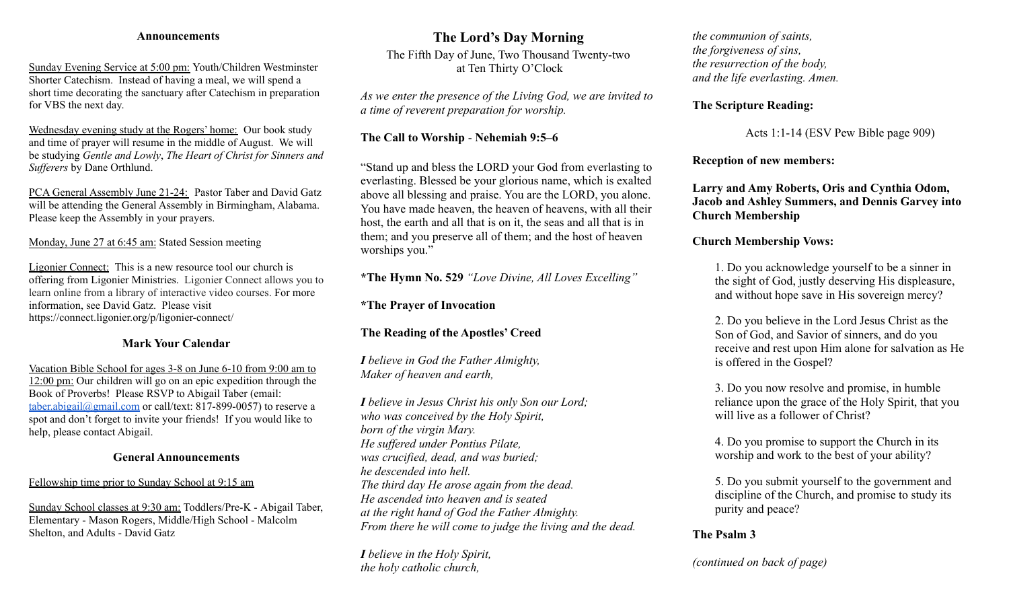#### **Announcements**

Sunday Evening Service at 5:00 pm: Youth/Children Westminster Shorter Catechism. Instead of having a meal, we will spend a short time decorating the sanctuary after Catechism in preparation for VBS the next day.

Wednesday evening study at the Rogers' home: Our book study and time of prayer will resume in the middle of August. We will be studying *Gentle and Lowly*, *The Heart of Christ for Sinners and Sufferers* by Dane Orthlund.

PCA General Assembly June 21-24: Pastor Taber and David Gatz will be attending the General Assembly in Birmingham, Alabama. Please keep the Assembly in your prayers.

Monday, June 27 at 6:45 am: Stated Session meeting

Ligonier Connect: This is a new resource tool our church is offering from Ligonier Ministries. Ligonier Connect allows you to learn online from a library of interactive video courses. For more information, see David Gatz. Please visit https://connect.ligonier.org/p/ligonier-connect/

#### **Mark Your Calendar**

Vacation Bible School for ages 3-8 on June 6-10 from 9:00 am to 12:00 pm: Our children will go on an epic expedition through the Book of Proverbs! Please RSVP to Abigail Taber (email: [taber.abigail@gmail.com](mailto:taber.abigail@gmail.com) or call/text: 817-899-0057) to reserve a spot and don't forget to invite your friends! If you would like to help, please contact Abigail.

#### **General Announcements**

#### Fellowship time prior to Sunday School at 9:15 am

Sunday School classes at 9:30 am: Toddlers/Pre-K - Abigail Taber, Elementary - Mason Rogers, Middle/High School - Malcolm Shelton, and Adults - David Gatz

### **The Lord's Day Morning**

The Fifth Day of June, Two Thousand Twenty-two at Ten Thirty O'Clock

*As we enter the presence of the Living God, we are invited to a time of reverent preparation for worship.*

#### **The Call to Worship** - **Nehemiah 9:5–6**

"Stand up and bless the LORD your God from everlasting to everlasting. Blessed be your glorious name, which is exalted above all blessing and praise. You are the LORD, you alone. You have made heaven, the heaven of heavens, with all their host, the earth and all that is on it, the seas and all that is in them; and you preserve all of them; and the host of heaven worships you."

**\*The Hymn No. 529** *"Love Divine, All Loves Excelling"*

**\*The Prayer of Invocation**

#### **The Reading of the Apostles' Creed**

*I believe in God the Father Almighty, Maker of heaven and earth,*

*I believe in Jesus Christ his only Son our Lord; who was conceived by the Holy Spirit, born of the virgin Mary. He suffered under Pontius Pilate, was crucified, dead, and was buried; he descended into hell. The third day He arose again from the dead. He ascended into heaven and is seated at the right hand of God the Father Almighty. From there he will come to judge the living and the dead.*

*I believe in the Holy Spirit, the holy catholic church,*

*the communion of saints, the forgiveness of sins, the resurrection of the body, and the life everlasting. Amen.*

#### **The Scripture Reading:**

Acts 1:1-14 (ESV Pew Bible page 909)

**Reception of new members:**

**Larry and Amy Roberts, Oris and Cynthia Odom, Jacob and Ashley Summers, and Dennis Garvey into Church Membership**

#### **Church Membership Vows:**

1. Do you acknowledge yourself to be a sinner in the sight of God, justly deserving His displeasure, and without hope save in His sovereign mercy?

2. Do you believe in the Lord Jesus Christ as the Son of God, and Savior of sinners, and do you receive and rest upon Him alone for salvation as He is offered in the Gospel?

3. Do you now resolve and promise, in humble reliance upon the grace of the Holy Spirit, that you will live as a follower of Christ?

4. Do you promise to support the Church in its worship and work to the best of your ability?

5. Do you submit yourself to the government and discipline of the Church, and promise to study its purity and peace?

#### **The Psalm 3**

*(continued on back of page)*